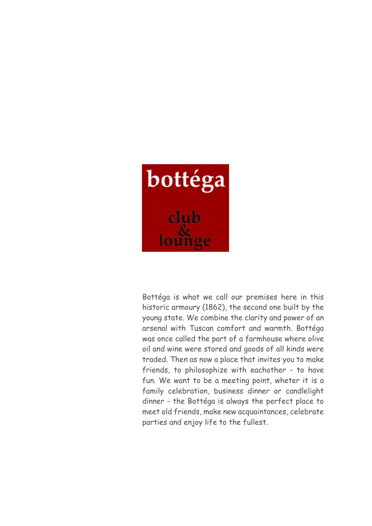

Bottéga is what we call our premises here in this historic armoury (1862), the second one built by the young state. We combine the clarity and power of an arsenal with Tuscan comfort and warmth. Bottéga was once called the part of a farmhouse where olive oil and wine were stored and goods of all kinds were traded. Then as now a place that invites you to make friends, to philosophize with eachother - to have fun. We want to be a meeting point, wheter it is a family celebration, business dinner or candlelight dinner - the Bottéga is always the perfect place to meet old friends, make new acquaintances, celebrate parties and enjoy life to the fullest.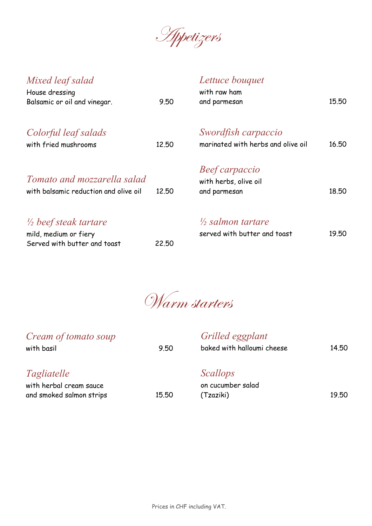Appetizers

| Mixed leaf salad<br>House dressing<br>Balsamic or oil and vinegar.                        | 9.50  | Lettuce bouquet<br>with raw ham<br>and parmesan              | 15.50 |
|-------------------------------------------------------------------------------------------|-------|--------------------------------------------------------------|-------|
| Colorful leaf salads<br>with fried mushrooms                                              | 12.50 | Swordfish carpaccio<br>marinated with herbs and olive oil    | 16.50 |
| Tomato and mozzarella salad<br>with balsamic reduction and olive oil                      | 12,50 | Beef carpaccio<br>with herbs, olive oil<br>and parmesan      | 18.50 |
| $\frac{1}{2}$ beef steak tartare<br>mild, medium or fiery<br>Served with butter and toast | 22,50 | $\frac{1}{2}$ salmon tartare<br>served with butter and toast | 19.50 |

Warm starters

| Cream of tomato soup<br>with basil                                        | 9.50  | Grilled eggplant<br>baked with halloumi cheese    | 14.50 |
|---------------------------------------------------------------------------|-------|---------------------------------------------------|-------|
| <i>Tagliatelle</i><br>with herbal cream sauce<br>and smoked salmon strips | 15.50 | <i>Scallops</i><br>on cucumber salad<br>(Tzaziki) | 19.50 |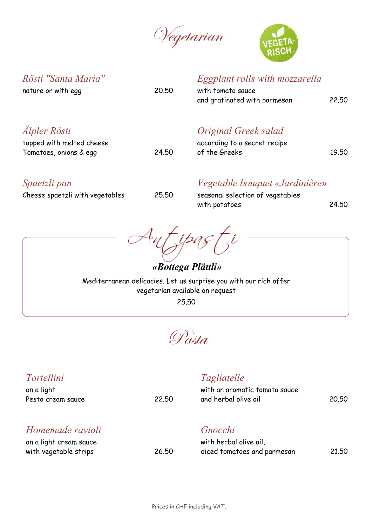Vegetarian



| Rösti "Santa Maria"<br>nature or with egg                                         | 20.50 | Eggplant rolls with mozzarella<br>with tomato sauce<br>and gratinated with parmesan | 22.50 |
|-----------------------------------------------------------------------------------|-------|-------------------------------------------------------------------------------------|-------|
| <i><b>Alpler Rösti</b></i><br>topped with melted cheese<br>Tomatoes, onions & egg | 24.50 | Original Greek salad<br>according to a secret recipe<br>of the Greeks               | 19.50 |
| Spaetzli pan<br>Cheese spaetzli with vegetables                                   | 25,50 | Vegetable bouquet «Jardinière»<br>seasonal selection of vegetables<br>with potatoes | 24.50 |

Antipasti

*«Bottega Plättli»* Mediterranean delicacies. Let us surprise you with our rich offer vegetarian available on request 25.50

Pasta

| <i>Tortellini</i><br>on a light<br>Pesto cream sauce                | 22.50 | Tagliatelle<br>with an aromatic tomato sauce<br>and herbal olive oil | 20.50 |
|---------------------------------------------------------------------|-------|----------------------------------------------------------------------|-------|
| Homemade ravioli<br>on a light cream sauce<br>with vegetable strips | 26.50 | Gnocchi<br>with herbal olive oil,<br>diced tomatoes and parmesan     | 21,50 |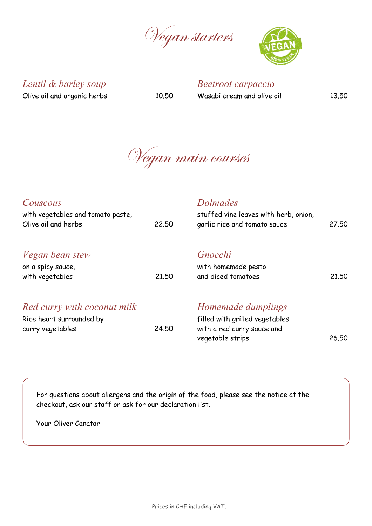Vegan starters



*Lentil & barley soup* Olive oil and organic herbs 10.50

*Beetroot carpaccio*

Wasabi cream and olive oil 13.50

Vegan main courses

| Couscous<br>with vegetables and tomato paste,<br>Olive oil and herbs        | 22,50 | <b>Dolmades</b><br>stuffed vine leaves with herb, onion,<br>garlic rice and tomato sauce               | 27,50 |
|-----------------------------------------------------------------------------|-------|--------------------------------------------------------------------------------------------------------|-------|
| <i>Vegan bean stew</i><br>on a spicy sauce,<br>with vegetables              | 21.50 | Gnocchi<br>with homemade pesto<br>and diced tomatoes                                                   | 21.50 |
| Red curry with coconut milk<br>Rice heart surrounded by<br>curry vegetables | 24.50 | Homemade dumplings<br>filled with grilled vegetables<br>with a red curry sauce and<br>vegetable strips | 26,50 |

For questions about allergens and the origin of the food, please see the notice at the checkout, ask our staff or ask for our declaration list.

Your Oliver Canatar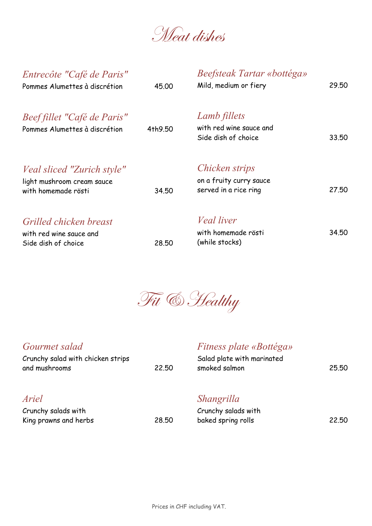Weat dishes

| Entrecôte "Café de Paris"<br>Pommes Alumettes à discrétion                             | 45,00   | Beefsteak Tartar «bottéga»<br>Mild, medium or fiery                       | 29.50 |
|----------------------------------------------------------------------------------------|---------|---------------------------------------------------------------------------|-------|
| Beef fillet "Café de Paris"<br>Pommes Alumettes à discrétion                           | 4th9.50 | Lamb fillets<br>with red wine sauce and<br>Side dish of choice            | 33.50 |
| <i>Veal sliced "Zurich style"</i><br>light mushroom cream sauce<br>with homemade rösti | 34.50   | <i>Chicken strips</i><br>on a fruity curry sauce<br>served in a rice ring | 27,50 |
| Grilled chicken breast<br>with red wine sauce and<br>Side dish of choice               | 28,50   | <i>Veal liver</i><br>with homemade rösti<br>(while stocks)                | 34.50 |



### *Gourmet salad*

Crunchy salad with chicken strips and mushrooms 22.50

## *Fitness plate «Bottéga»*

| Salad plate with marinated |       |
|----------------------------|-------|
| smoked salmon              | 25.50 |

# *Ariel*

| Crunchy salads with   |       |
|-----------------------|-------|
| King prawns and herbs | 28,50 |

#### *Shangrilla*

|       | Crunchy salads with |       |
|-------|---------------------|-------|
| 28,50 | baked spring rolls  | 22,50 |